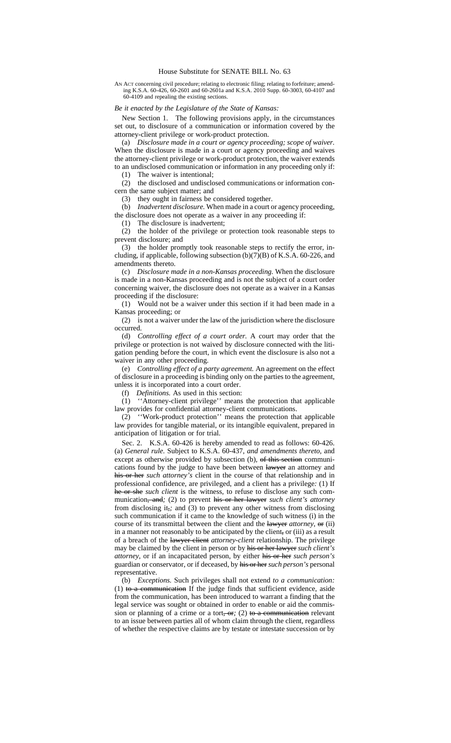AN ACT concerning civil procedure; relating to electronic filing; relating to forfeiture; amending K.S.A. 60-426, 60-2601 and 60-2601a and K.S.A. 2010 Supp. 60-3003, 60-4107 and 60-4109 and repealing the existing sections.

*Be it enacted by the Legislature of the State of Kansas:*

New Section 1. The following provisions apply, in the circumstances set out, to disclosure of a communication or information covered by the attorney-client privilege or work-product protection.

(a) *Disclosure made in a court or agency proceeding; scope of waiver.* When the disclosure is made in a court or agency proceeding and waives the attorney-client privilege or work-product protection, the waiver extends to an undisclosed communication or information in any proceeding only if:

(1) The waiver is intentional;

(2) the disclosed and undisclosed communications or information concern the same subject matter; and

(3) they ought in fairness be considered together.

(b) *Inadvertent disclosure.* When made in a court or agency proceeding, the disclosure does not operate as a waiver in any proceeding if:

(1) The disclosure is inadvertent;

(2) the holder of the privilege or protection took reasonable steps to prevent disclosure; and

(3) the holder promptly took reasonable steps to rectify the error, including, if applicable, following subsection  $(b)(7)(B)$  of K.S.A. 60-226, and amendments thereto.

(c) *Disclosure made in a non-Kansas proceeding.* When the disclosure is made in a non-Kansas proceeding and is not the subject of a court order concerning waiver, the disclosure does not operate as a waiver in a Kansas proceeding if the disclosure:

(1) Would not be a waiver under this section if it had been made in a Kansas proceeding; or

(2) is not a waiver under the law of the jurisdiction where the disclosure occurred.

(d) *Controlling effect of a court order.* A court may order that the privilege or protection is not waived by disclosure connected with the litigation pending before the court, in which event the disclosure is also not a waiver in any other proceeding.

(e) *Controlling effect of a party agreement.* An agreement on the effect of disclosure in a proceeding is binding only on the parties to the agreement, unless it is incorporated into a court order.

(f) *Definitions.* As used in this section:

(1) ''Attorney-client privilege'' means the protection that applicable law provides for confidential attorney-client communications.

(2) ''Work-product protection'' means the protection that applicable law provides for tangible material, or its intangible equivalent, prepared in anticipation of litigation or for trial.

Sec. 2. K.S.A. 60-426 is hereby amended to read as follows: 60-426. (a) *General rule.* Subject to K.S.A. 60-437, *and amendments thereto,* and except as otherwise provided by subsection (b), of this section communications found by the judge to have been between lawyer an attorney and his or her *such attorney's* client in the course of that relationship and in professional confidence, are privileged, and a client has a privilege*:* (1) If he or she *such client* is the witness, to refuse to disclose any such communication, and; (2) to prevent his or her lawyer *such client's attorney* from disclosing it,*;* and (3) to prevent any other witness from disclosing such communication if it came to the knowledge of such witness (i) in the course of its transmittal between the client and the lawyer *attorney*, or (ii) in a manner not reasonably to be anticipated by the client, or (iii) as a result of a breach of the lawyer-client *attorney-client* relationship. The privilege may be claimed by the client in person or by his or her lawyer *such client's attorney*, or if an incapacitated person, by either his or her *such person's* guardian or conservator, or if deceased, by his or her *such person's* personal representative.

(b) *Exceptions.* Such privileges shall not extend *to a communication:* (1) to a communication If the judge finds that sufficient evidence, aside from the communication, has been introduced to warrant a finding that the legal service was sought or obtained in order to enable or aid the commission or planning of a crime or a tort,  $\sigma$ *r*; (2) to a communication relevant to an issue between parties all of whom claim through the client, regardless of whether the respective claims are by testate or intestate succession or by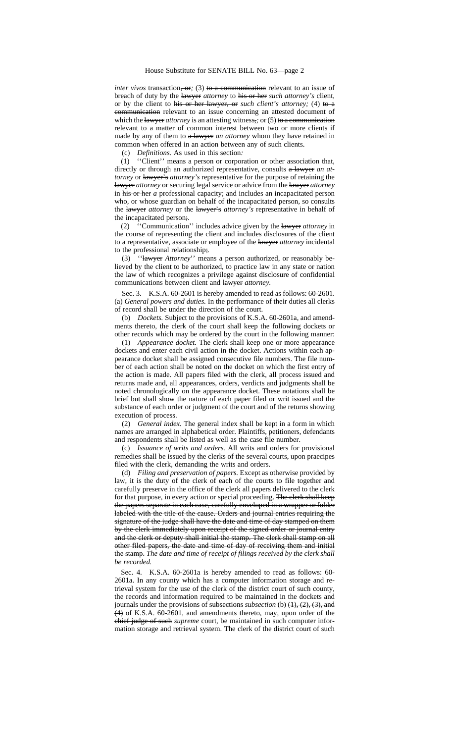*inter vivos* transaction,  $\Theta$ *;* (3) to a communication relevant to an issue of breach of duty by the lawyer *attorney* to his or her *such attorney's* client, or by the client to his or her lawyer, or *such client's attorney;* (4) to a communication relevant to an issue concerning an attested document of which the lawyer *attorney* is an attesting witness,; or (5) to a communication relevant to a matter of common interest between two or more clients if made by any of them to  $a$  lawyer *an attorney* whom they have retained in common when offered in an action between any of such clients.

(c) *Definitions.* As used in this section*:*

(1) ''Client'' means a person or corporation or other association that, directly or through an authorized representative, consults a lawyer *an attorney* or lawyer's *attorney's* representative for the purpose of retaining the lawyer *attorney* or securing legal service or advice from the lawyer *attorney* in his or her *a* professional capacity; and includes an incapacitated person who*,* or whose guardian on behalf of the incapacitated person*,* so consults the lawyer *attorney* or the lawyer's *attorney's* representative in behalf of the incapacitated person;*.*

(2) ''Communication'' includes advice given by the lawyer *attorney* in the course of representing the client and includes disclosures of the client to a representative, associate or employee of the lawyer *attorney* incidental to the professional relationship;*.*

(3) ''lawyer *Attorney*'' means a person authorized, or reasonably believed by the client to be authorized, to practice law in any state or nation the law of which recognizes a privilege against disclosure of confidential communications between client and lawyer *attorney*.

Sec. 3. K.S.A. 60-2601 is hereby amended to read as follows: 60-2601. (a) *General powers and duties.* In the performance of their duties all clerks of record shall be under the direction of the court.

(b) *Dockets.* Subject to the provisions of K.S.A. 60-2601a, and amendments thereto, the clerk of the court shall keep the following dockets or other records which may be ordered by the court in the following manner:

(1) *Appearance docket.* The clerk shall keep one or more appearance dockets and enter each civil action in the docket. Actions within each appearance docket shall be assigned consecutive file numbers. The file number of each action shall be noted on the docket on which the first entry of the action is made. All papers filed with the clerk, all process issued and returns made and, all appearances, orders, verdicts and judgments shall be noted chronologically on the appearance docket. These notations shall be brief but shall show the nature of each paper filed or writ issued and the substance of each order or judgment of the court and of the returns showing execution of process.

(2) *General index.* The general index shall be kept in a form in which names are arranged in alphabetical order. Plaintiffs, petitioners, defendants and respondents shall be listed as well as the case file number.

(c) *Issuance of writs and orders.* All writs and orders for provisional remedies shall be issued by the clerks of the several courts, upon praecipes filed with the clerk, demanding the writs and orders.

(d) *Filing and preservation of papers.* Except as otherwise provided by law, it is the duty of the clerk of each of the courts to file together and carefully preserve in the office of the clerk all papers delivered to the clerk for that purpose, in every action or special proceeding. The clerk shall keep the papers separate in each case, carefully enveloped in a wrapper or folder labeled with the title of the cause. Orders and journal entries requiring the signature of the judge shall have the date and time of day stamped on them by the clerk immediately upon receipt of the signed order or journal entry and the clerk or deputy shall initial the stamp. The clerk shall stamp on all other filed papers, the date and time of day of receiving them and initial the stamp. *The date and time of receipt of filings received by the clerk shall be recorded.*

Sec. 4. K.S.A. 60-2601a is hereby amended to read as follows: 60- 2601a. In any county which has a computer information storage and retrieval system for the use of the clerk of the district court of such county, the records and information required to be maintained in the dockets and journals under the provisions of subsections *subsection* (b) (1), (2), (3), and (4) of K.S.A. 60-2601*,* and amendments thereto*,* may, upon order of the chief judge of such *supreme* court, be maintained in such computer information storage and retrieval system. The clerk of the district court of such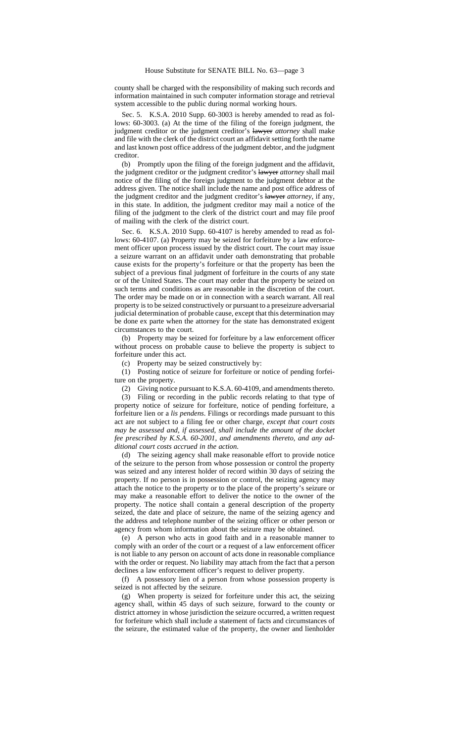county shall be charged with the responsibility of making such records and information maintained in such computer information storage and retrieval system accessible to the public during normal working hours.

Sec. 5. K.S.A. 2010 Supp. 60-3003 is hereby amended to read as follows: 60-3003. (a) At the time of the filing of the foreign judgment, the judgment creditor or the judgment creditor's lawyer *attorney* shall make and file with the clerk of the district court an affidavit setting forth the name and last known post office address of the judgment debtor, and the judgment creditor.

(b) Promptly upon the filing of the foreign judgment and the affidavit, the judgment creditor or the judgment creditor's lawyer *attorney* shall mail notice of the filing of the foreign judgment to the judgment debtor at the address given. The notice shall include the name and post office address of the judgment creditor and the judgment creditor's lawyer *attorney*, if any, in this state. In addition, the judgment creditor may mail a notice of the filing of the judgment to the clerk of the district court and may file proof of mailing with the clerk of the district court.

Sec. 6. K.S.A. 2010 Supp. 60-4107 is hereby amended to read as follows: 60-4107. (a) Property may be seized for forfeiture by a law enforcement officer upon process issued by the district court. The court may issue a seizure warrant on an affidavit under oath demonstrating that probable cause exists for the property's forfeiture or that the property has been the subject of a previous final judgment of forfeiture in the courts of any state or of the United States. The court may order that the property be seized on such terms and conditions as are reasonable in the discretion of the court. The order may be made on or in connection with a search warrant. All real property is to be seized constructively or pursuant to a preseizure adversarial judicial determination of probable cause, except that this determination may be done ex parte when the attorney for the state has demonstrated exigent circumstances to the court.

(b) Property may be seized for forfeiture by a law enforcement officer without process on probable cause to believe the property is subject to forfeiture under this act.

(c) Property may be seized constructively by:

(1) Posting notice of seizure for forfeiture or notice of pending forfeiture on the property.

(2) Giving notice pursuant to K.S.A. 60-4109, and amendments thereto.

(3) Filing or recording in the public records relating to that type of property notice of seizure for forfeiture, notice of pending forfeiture, a forfeiture lien or a *lis pendens*. Filings or recordings made pursuant to this act are not subject to a filing fee or other charge*, except that court costs may be assessed and, if assessed, shall include the amount of the docket fee prescribed by K.S.A. 60-2001, and amendments thereto, and any additional court costs accrued in the action*.

(d) The seizing agency shall make reasonable effort to provide notice of the seizure to the person from whose possession or control the property was seized and any interest holder of record within 30 days of seizing the property. If no person is in possession or control, the seizing agency may attach the notice to the property or to the place of the property's seizure or may make a reasonable effort to deliver the notice to the owner of the property. The notice shall contain a general description of the property seized, the date and place of seizure, the name of the seizing agency and the address and telephone number of the seizing officer or other person or agency from whom information about the seizure may be obtained.

(e) A person who acts in good faith and in a reasonable manner to comply with an order of the court or a request of a law enforcement officer is not liable to any person on account of acts done in reasonable compliance with the order or request. No liability may attach from the fact that a person declines a law enforcement officer's request to deliver property.

(f) A possessory lien of a person from whose possession property is seized is not affected by the seizure.

(g) When property is seized for forfeiture under this act, the seizing agency shall, within 45 days of such seizure, forward to the county or district attorney in whose jurisdiction the seizure occurred, a written request for forfeiture which shall include a statement of facts and circumstances of the seizure, the estimated value of the property, the owner and lienholder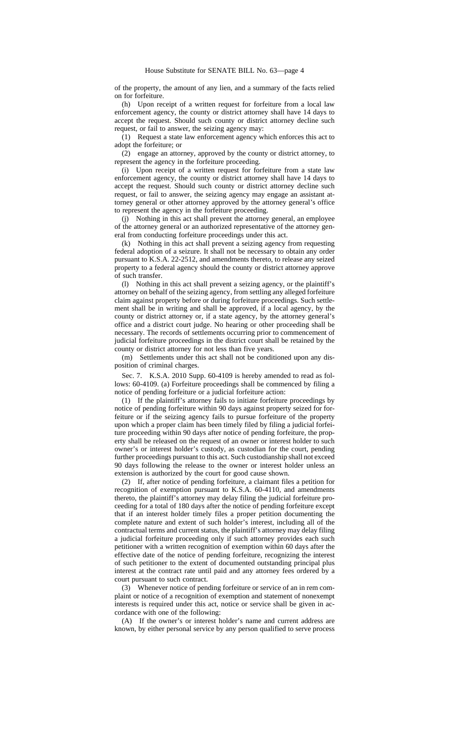of the property, the amount of any lien, and a summary of the facts relied on for forfeiture.

(h) Upon receipt of a written request for forfeiture from a local law enforcement agency, the county or district attorney shall have 14 days to accept the request. Should such county or district attorney decline such request, or fail to answer, the seizing agency may:

(1) Request a state law enforcement agency which enforces this act to adopt the forfeiture; or

(2) engage an attorney, approved by the county or district attorney, to represent the agency in the forfeiture proceeding.

(i) Upon receipt of a written request for forfeiture from a state law enforcement agency, the county or district attorney shall have 14 days to accept the request. Should such county or district attorney decline such request, or fail to answer, the seizing agency may engage an assistant attorney general or other attorney approved by the attorney general's office to represent the agency in the forfeiture proceeding.

(j) Nothing in this act shall prevent the attorney general, an employee of the attorney general or an authorized representative of the attorney general from conducting forfeiture proceedings under this act.

(k) Nothing in this act shall prevent a seizing agency from requesting federal adoption of a seizure. It shall not be necessary to obtain any order pursuant to K.S.A. 22-2512, and amendments thereto, to release any seized property to a federal agency should the county or district attorney approve of such transfer.

(l) Nothing in this act shall prevent a seizing agency, or the plaintiff's attorney on behalf of the seizing agency, from settling any alleged forfeiture claim against property before or during forfeiture proceedings. Such settlement shall be in writing and shall be approved, if a local agency, by the county or district attorney or, if a state agency, by the attorney general's office and a district court judge. No hearing or other proceeding shall be necessary. The records of settlements occurring prior to commencement of judicial forfeiture proceedings in the district court shall be retained by the county or district attorney for not less than five years.

(m) Settlements under this act shall not be conditioned upon any disposition of criminal charges.

Sec. 7. K.S.A. 2010 Supp. 60-4109 is hereby amended to read as follows: 60-4109. (a) Forfeiture proceedings shall be commenced by filing a notice of pending forfeiture or a judicial forfeiture action:

(1) If the plaintiff's attorney fails to initiate forfeiture proceedings by notice of pending forfeiture within 90 days against property seized for forfeiture or if the seizing agency fails to pursue forfeiture of the property upon which a proper claim has been timely filed by filing a judicial forfeiture proceeding within 90 days after notice of pending forfeiture, the property shall be released on the request of an owner or interest holder to such owner's or interest holder's custody, as custodian for the court, pending further proceedings pursuant to this act. Such custodianship shall not exceed 90 days following the release to the owner or interest holder unless an extension is authorized by the court for good cause shown.

(2) If, after notice of pending forfeiture, a claimant files a petition for recognition of exemption pursuant to K.S.A. 60-4110, and amendments thereto, the plaintiff's attorney may delay filing the judicial forfeiture proceeding for a total of 180 days after the notice of pending forfeiture except that if an interest holder timely files a proper petition documenting the complete nature and extent of such holder's interest, including all of the contractual terms and current status, the plaintiff's attorney may delay filing a judicial forfeiture proceeding only if such attorney provides each such petitioner with a written recognition of exemption within 60 days after the effective date of the notice of pending forfeiture, recognizing the interest of such petitioner to the extent of documented outstanding principal plus interest at the contract rate until paid and any attorney fees ordered by a court pursuant to such contract.

(3) Whenever notice of pending forfeiture or service of an in rem complaint or notice of a recognition of exemption and statement of nonexempt interests is required under this act, notice or service shall be given in accordance with one of the following:

(A) If the owner's or interest holder's name and current address are known, by either personal service by any person qualified to serve process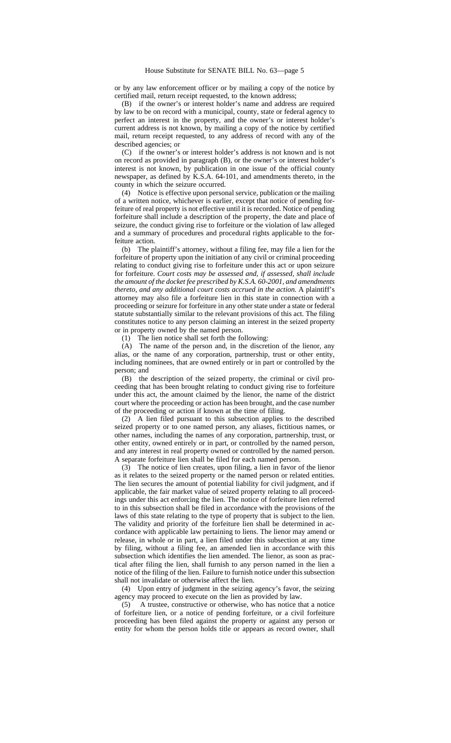or by any law enforcement officer or by mailing a copy of the notice by certified mail, return receipt requested, to the known address;

(B) if the owner's or interest holder's name and address are required by law to be on record with a municipal, county, state or federal agency to perfect an interest in the property, and the owner's or interest holder's current address is not known, by mailing a copy of the notice by certified mail, return receipt requested, to any address of record with any of the described agencies; or

(C) if the owner's or interest holder's address is not known and is not on record as provided in paragraph (B), or the owner's or interest holder's interest is not known, by publication in one issue of the official county newspaper, as defined by K.S.A. 64-101, and amendments thereto, in the county in which the seizure occurred.

(4) Notice is effective upon personal service, publication or the mailing of a written notice, whichever is earlier, except that notice of pending forfeiture of real property is not effective until it is recorded. Notice of pending forfeiture shall include a description of the property, the date and place of seizure, the conduct giving rise to forfeiture or the violation of law alleged and a summary of procedures and procedural rights applicable to the forfeiture action.

(b) The plaintiff's attorney, without a filing fee, may file a lien for the forfeiture of property upon the initiation of any civil or criminal proceeding relating to conduct giving rise to forfeiture under this act or upon seizure for forfeiture. *Court costs may be assessed and, if assessed, shall include the amount of the docket fee prescribed by K.S.A. 60-2001, and amendments thereto, and any additional court costs accrued in the action.* A plaintiff's attorney may also file a forfeiture lien in this state in connection with a proceeding or seizure for forfeiture in any other state under a state or federal statute substantially similar to the relevant provisions of this act. The filing constitutes notice to any person claiming an interest in the seized property or in property owned by the named person.

(1) The lien notice shall set forth the following:

(A) The name of the person and, in the discretion of the lienor, any alias, or the name of any corporation, partnership, trust or other entity, including nominees, that are owned entirely or in part or controlled by the person; and

(B) the description of the seized property, the criminal or civil proceeding that has been brought relating to conduct giving rise to forfeiture under this act, the amount claimed by the lienor, the name of the district court where the proceeding or action has been brought, and the case number of the proceeding or action if known at the time of filing.

(2) A lien filed pursuant to this subsection applies to the described seized property or to one named person, any aliases, fictitious names, or other names, including the names of any corporation, partnership, trust, or other entity, owned entirely or in part, or controlled by the named person, and any interest in real property owned or controlled by the named person. A separate forfeiture lien shall be filed for each named person.

(3) The notice of lien creates, upon filing, a lien in favor of the lienor as it relates to the seized property or the named person or related entities. The lien secures the amount of potential liability for civil judgment, and if applicable, the fair market value of seized property relating to all proceedings under this act enforcing the lien. The notice of forfeiture lien referred to in this subsection shall be filed in accordance with the provisions of the laws of this state relating to the type of property that is subject to the lien. The validity and priority of the forfeiture lien shall be determined in accordance with applicable law pertaining to liens. The lienor may amend or release, in whole or in part, a lien filed under this subsection at any time by filing, without a filing fee, an amended lien in accordance with this subsection which identifies the lien amended. The lienor, as soon as practical after filing the lien, shall furnish to any person named in the lien a notice of the filing of the lien. Failure to furnish notice under this subsection shall not invalidate or otherwise affect the lien.

(4) Upon entry of judgment in the seizing agency's favor, the seizing agency may proceed to execute on the lien as provided by law.<br>(5) A trustee, constructive or otherwise, who has notice the

(5) A trustee, constructive or otherwise, who has notice that a notice of forfeiture lien, or a notice of pending forfeiture, or a civil forfeiture proceeding has been filed against the property or against any person or entity for whom the person holds title or appears as record owner, shall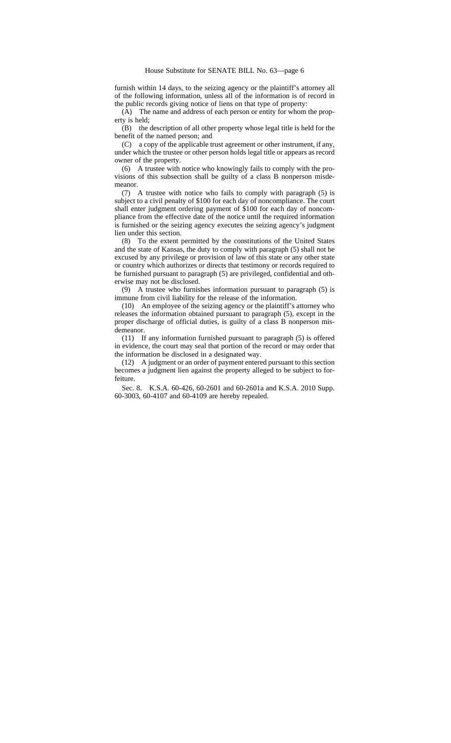furnish within 14 days, to the seizing agency or the plaintiff's attorney all of the following information, unless all of the information is of record in the public records giving notice of liens on that type of property:

(A) The name and address of each person or entity for whom the property is held;

(B) the description of all other property whose legal title is held for the benefit of the named person; and

(C) a copy of the applicable trust agreement or other instrument, if any, under which the trustee or other person holds legal title or appears as record owner of the property.

(6) A trustee with notice who knowingly fails to comply with the provisions of this subsection shall be guilty of a class B nonperson misdemeanor.

(7) A trustee with notice who fails to comply with paragraph (5) is subject to a civil penalty of \$100 for each day of noncompliance. The court shall enter judgment ordering payment of \$100 for each day of noncompliance from the effective date of the notice until the required information is furnished or the seizing agency executes the seizing agency's judgment lien under this section.

(8) To the extent permitted by the constitutions of the United States and the state of Kansas, the duty to comply with paragraph (5) shall not be excused by any privilege or provision of law of this state or any other state or country which authorizes or directs that testimony or records required to be furnished pursuant to paragraph (5) are privileged, confidential and otherwise may not be disclosed.

(9) A trustee who furnishes information pursuant to paragraph (5) is immune from civil liability for the release of the information.

(10) An employee of the seizing agency or the plaintiff's attorney who releases the information obtained pursuant to paragraph (5), except in the proper discharge of official duties, is guilty of a class B nonperson misdemeanor.

(11) If any information furnished pursuant to paragraph (5) is offered in evidence, the court may seal that portion of the record or may order that the information be disclosed in a designated way.

(12) A judgment or an order of payment entered pursuant to this section becomes a judgment lien against the property alleged to be subject to forfeiture.

Sec. 8. K.S.A. 60-426, 60-2601 and 60-2601a and K.S.A. 2010 Supp. 60-3003, 60-4107 and 60-4109 are hereby repealed.